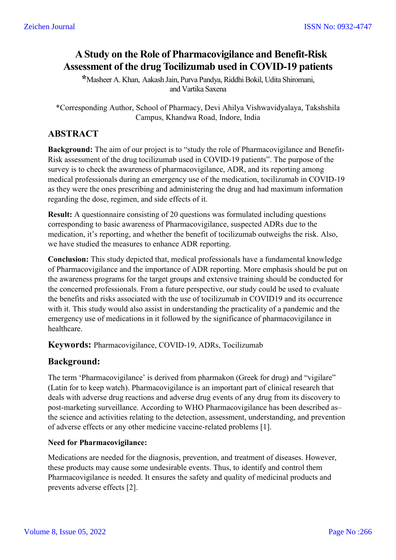# **A Study on the Role of Pharmacovigilance and Benefit-Risk Assessment of the drug Tocilizumab used in COVID-19 patients**

**\***Masheer A. Khan, Aakash Jain, Purva Pandya, Riddhi Bokil, Udita Shiromani, and Vartika Saxena

\*Corresponding Author, School of Pharmacy, Devi Ahilya Vishwavidyalaya, Takshshila Campus, Khandwa Road, Indore, India

# **ABSTRACT**

**Background:** The aim of our project is to "study the role of Pharmacovigilance and Benefit-Risk assessment of the drug tocilizumab used in COVID-19 patients". The purpose of the survey is to check the awareness of pharmacovigilance, ADR, and its reporting among medical professionals during an emergency use of the medication, tocilizumab in COVID-19 as they were the ones prescribing and administering the drug and had maximum information regarding the dose, regimen, and side effects of it.

**Result:** A questionnaire consisting of 20 questions was formulated including questions corresponding to basic awareness of Pharmacovigilance, suspected ADRs due to the medication, it's reporting, and whether the benefit of tocilizumab outweighs the risk. Also, we have studied the measures to enhance ADR reporting.

**Conclusion:** This study depicted that, medical professionals have a fundamental knowledge of Pharmacovigilance and the importance of ADR reporting. More emphasis should be put on the awareness programs for the target groups and extensive training should be conducted for the concerned professionals. From a future perspective, our study could be used to evaluate the benefits and risks associated with the use of tocilizumab in COVID19 and its occurrence with it. This study would also assist in understanding the practicality of a pandemic and the emergency use of medications in it followed by the significance of pharmacovigilance in healthcare.

**Keywords:** Pharmacovigilance, COVID-19, ADRs, Tocilizumab

# **Background:**

The term 'Pharmacovigilance' is derived from pharmakon (Greek for drug) and "vigilare" (Latin for to keep watch). Pharmacovigilance is an important part of clinical research that deals with adverse drug reactions and adverse drug events of any drug from its discovery to post-marketing surveillance. According to WHO Pharmacovigilance has been described as– the science and activities relating to the detection, assessment, understanding, and prevention of adverse effects or any other medicine vaccine-related problems [1].

## **Need for Pharmacovigilance:**

Medications are needed for the diagnosis, prevention, and treatment of diseases. However, these products may cause some undesirable events. Thus, to identify and control them Pharmacovigilance is needed. It ensures the safety and quality of medicinal products and prevents adverse effects [2].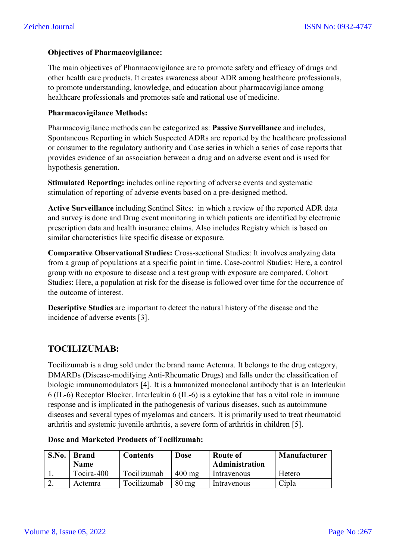#### **Objectives of Pharmacovigilance:**

The main objectives of Pharmacovigilance are to promote safety and efficacy of drugs and other health care products. It creates awareness about ADR among healthcare professionals, to promote understanding, knowledge, and education about pharmacovigilance among healthcare professionals and promotes safe and rational use of medicine.

#### **Pharmacovigilance Methods:**

Pharmacovigilance methods can be categorized as: **Passive Surveillance** and includes, Spontaneous Reporting in which Suspected ADRs are reported by the healthcare professional or consumer to the regulatory authority and Case series in which a series of case reports that provides evidence of an association between a drug and an adverse event and is used for hypothesis generation.

**Stimulated Reporting:** includes online reporting of adverse events and systematic stimulation of reporting of adverse events based on a pre-designed method.

**Active Surveillance** including Sentinel Sites: in which a review of the reported ADR data and survey is done and Drug event monitoring in which patients are identified by electronic prescription data and health insurance claims. Also includes Registry which is based on similar characteristics like specific disease or exposure.

**Comparative Observational Studies:** Cross-sectional Studies: It involves analyzing data from a group of populations at a specific point in time. Case-control Studies: Here, a control group with no exposure to disease and a test group with exposure are compared. Cohort Studies: Here, a population at risk for the disease is followed over time for the occurrence of the outcome of interest.

**Descriptive Studies** are important to detect the natural history of the disease and the incidence of adverse events [3].

# **TOCILIZUMAB:**

Tocilizumab is a drug sold under the brand name Actemra. It belongs to the drug category, DMARDs (Disease-modifying Anti-Rheumatic Drugs) and falls under the classification of biologic immunomodulators [4]. It is a humanized monoclonal antibody that is an Interleukin 6 (IL-6) Receptor Blocker. Interleukin 6 (IL-6) is a cytokine that has a vital role in immune response and is implicated in the pathogenesis of various diseases, such as autoimmune diseases and several types of myelomas and cancers. It is primarily used to treat rheumatoid arthritis and systemic juvenile arthritis, a severe form of arthritis in children [5].

| S.No. | <b>Brand</b> | <b>Contents</b> | Dose             | <b>Route of</b> | <b>Manufacturer</b> |
|-------|--------------|-----------------|------------------|-----------------|---------------------|
|       | <b>Name</b>  |                 |                  | Administration  |                     |
|       | Tocira-400   | Tocilizumab     | $400 \text{ mg}$ | Intravenous     | Hetero              |
|       | Actemra      | Tocilizumab     | $80 \text{ mg}$  | Intravenous     | Cipla               |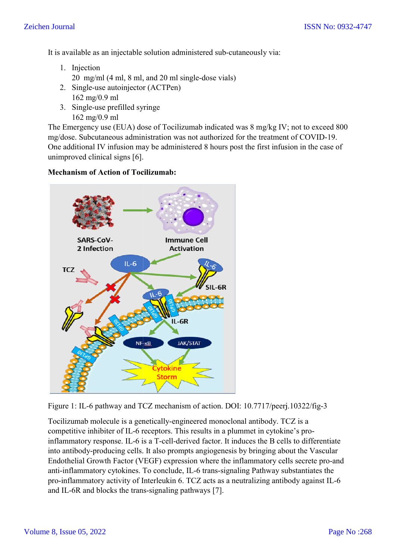It is available as an injectable solution administered sub-cutaneously via:

- 1. Injection 20 mg/ml (4 ml, 8 ml, and 20 ml single-dose vials)
- 2. Single-use autoinjector (ACTPen) 162 mg/0.9 ml use<br>g/0.9<br>use
- 3. Single-use prefilled syringe 162 mg/0.9 ml

The Emergency use (EUA) dose of Tocilizumab indicated was 8 mg/kg IV; not to exceed 800 mg/dose. Subcutaneous administration was not authorized for the treatment of COVID-19. One additional IV infusion may be administered 8 hours post the first infusion in the case of unimproved clinical signs [6].



#### **Mechanism of Action of Tocilizumab:**

Figure 1: IL-6 pathway and TCZ mechanism of action. DOI: 10.7717/peerj.10322/fig-3

Figure 1: IL-6 pathway and TCZ mechanism of action. DOI: 10.7717/peerj.10322.<br>Tocilizumab molecule is a genetically-engineered monoclonal antibody. TCZ is a competitive inhibiter of IL-6 receptors. This results in a plummet in cytokine's proinflammatory response. IL-6 is a T-cell-derived factor. It induces the B cells to differentiate inflammatory response. IL-6 is a T-cell-derived factor. It induces the B cells to differentiate<br>into antibody-producing cells. It also prompts angiogenesis by bringing about the Vascular Endothelial Growth Factor (VEGF) expression where the inflammatory cells secrete pro-and anti-inflammatory cytokines. To conclude, IL-6 trans-signaling Pathway substantiates the anti-inflammatory cytokines. To conclude, IL-6 trans-signaling Pathway substantiates the<br>pro-inflammatory activity of Interleukin 6. TCZ acts as a neutralizing antibody against IL-6 and IL-6R and blocks the trans-signaling pathways [7].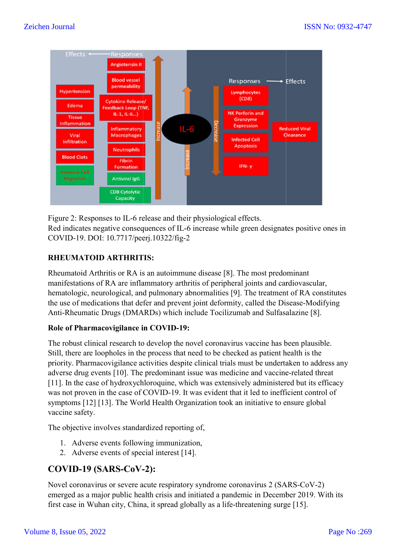

Figure 2: Responses to IL-6 release and their physiological effects. Figure 2: Responses to IL-6 release and their physiological effects.<br>Red indicates negative consequences of IL-6 increase while green designates positive ones in COVID-19. DOI: 10.7717/peerj.10322/fig 10.7717/peerj.10322/fig-2

## **RHEUMATOID ARTHRITIS HEUMATOID ARTHRITIS:**

Rheumatoid Arthritis or RA is an autoimmune disease [8]. The most predominant manifestations of RA are inflammatory arthritis of peripheral joints and cardiovascular, hematologic, neurological, and pulmonary abnormalities [9]. The treatment of RA constitutes the use of medications that defer and prevent joint deformity, called the Disease Anti-Rheumatic Drugs (DMARDs) which include Tocilizumab and Sulfasalazine [8]. 6 increase while green designates positive ones i<br>2<br>une disease [8]. The most predominant<br>ritis of peripheral joints and cardiovascular,<br>abnormalities [9]. The treatment of RA constitute<br>nt joint deformity, called the Dise

## **Role of Pharmacovigilance in COVID-19:**

The robust clinical research to develop the novel coronavirus vaccine has been plausible. Still, there are loopholes in the process that need to be checked as patient health is the priority. Pharmacovigilance activities despite clinical trials must be undertaken to address any adverse drug events [10]. The predominant issue was medicine and vaccine-related threat [11]. In the case of hydroxychloroquine, which was extensively administered but its efficacy was not proven in the case of COVID-19. It was evident that it led to inefficient control of symptoms [12] [13]. The World Health Organization took an initiative to ensure global vaccine safety.

The objective involves standardized reporting of,

- 1. Adverse events following immunization,
- 1. Adverse events following immunizatio<br>2. Adverse events of special interest [14].

# **COVID-19 (SARS-CoV--2):**

Novel coronavirus or severe acute respiratory syndrome coronavirus 2 (SARS (SARS-CoV-2) emerged as a major public health crisis and initiated a pandemic in December 2019. With its first case in Wuhan city, China, it spread globally as a life-threatening surge [15]. first case in Wuhan city, China, it spread globally as a life-threatening surge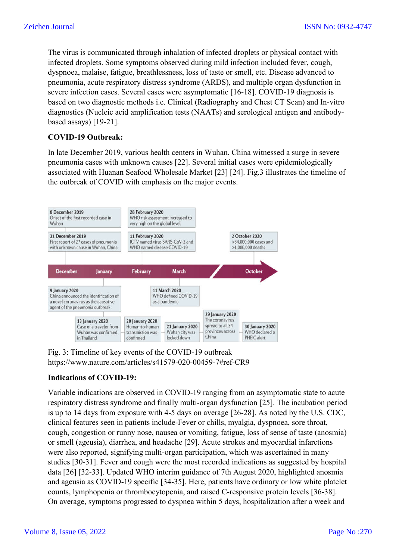The virus is communicated through inhalation of infected droplets or physical contact with infected droplets. Some symptoms observed during mild infection included fever, cough, dyspnoea, malaise, fatigue, breathlessness, loss of taste or smell, etc. Disease advanced to infected droplets. Some symptoms observed during mild infection included fever, cough,<br>dyspnoea, malaise, fatigue, breathlessness, loss of taste or smell, etc. Disease advanced to<br>pneumonia, acute respiratory distress synd severe infection cases. Several cases were asymptomatic [16-18]. COVID-19 diagnosis is based on two diagnostic methods i.e. Clinical (Radiography and Chest CT Scan) and In-vitro diagnostics (Nucleic acid amplification tests (NAATs) and serological antigen and antibodybased assays) [19-21].

#### **COVID-19 Outbreak:**

In late December 2019, various health centers in Wuhan, China witnessed a surge in severe pneumonia cases with unknown causes [22]. Several initial cases were epidemiologically associated with Huanan Seafood Wholesale Market [23] [24]. Fig.3 illustrates the timeline of the outbreak of COVID with emphasis on the major events.



Fig. 3: Timeline of key events of the COVID-19 outbreak https://www.nature.com/articles/s41579 https://www.nature.com/articles/s41579-020-00459-7#ref-CR9

#### **Indications of COVID-19:**

Variable indications are observed in COVID-19 ranging from an asymptomatic state to acute respiratory distress syndrome and finally multi-organ dysfunction [25]. The incubation period is up to 14 days from exposure with 4 4-5 days on average [26-28]. As noted by the U.S. CDC, clinical features seen in patients include-Fever or chills, myalgia, dyspnoea, sore throat, cough, congestion or runny nose, nausea or vomiting, fatigue, loss of sense of taste (anosmia) or smell (ageusia), diarrhea, and headache [29]. Acute strokes and myocardial infarctions were also reported, signifying multi-organ participation, which was ascertained in many studies [30-31]. Fever and cough were the most recorded indications as suggested by hospital data [26] [32-33]. Updated WHO interim guidance of 7th August 2020, highlighted anosmia and ageusia as COVID-19 specific [34-35]. Here, patients have ordinary or low white platelet counts, lymphopenia or thrombocytopenia, and raised C C-responsive protein levels On average, symptoms progressed to dyspnea within 5 days, hospitalization after a week and implementation, which was ascertained infarctions<br>ed, signifying multi-organ participation, which was ascertained in many<br>Fever and cough were the most recorded indications as suggested by hosp<br>J. Updated WHO interim guida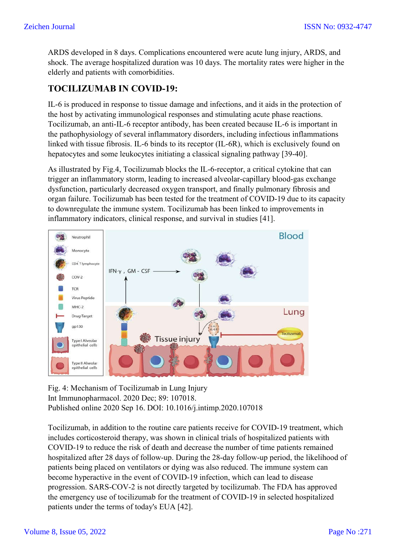ARDS developed in 8 days. Complications encountered were acute lung injury, ARDS, and shock. The average hospitalized duration was 10 days. The mortality rates were higher in the elderly and patients with comorbidities.

# **TOCILIZUMAB IN COVID-19:**

IL-6 is produced in response to tissue damage and infections, and it aids in the protection of the host by activating immunological responses and stimulating acute phase reactions. Tocilizumab, an anti-IL-6 receptor antibody, has been created because IL-6 is important in the pathophysiology of several inflammatory disorders, including infectious inflammations linked with tissue fibrosis. IL-6 binds to its receptor (IL-6R), which is exclusively found on hepatocytes and some leukocytes initiating a classical signaling pathway [39-40].

As illustrated by Fig.4, Tocilizumab blocks the IL-6-receptor, a critical cytokine that can trigger an inflammatory storm, leading to increased alveolar-capillary blood-gas exchange dysfunction, particularly decreased oxygen transport, and finally pulmonary fibrosis and organ failure. Tocilizumab has been tested for the treatment of COVID-19 due to its capacity to downregulate the immune system. Tocilizumab has been linked to improvements in inflammatory indicators, clinical response, and survival in studies [41].



Fig. 4: Mechanism of Tocilizumab in Lung Injury Int Immunopharmacol. 2020 Dec; 89: 107018. Published online 2020 Sep 16. DOI: 10.1016/j.intimp.2020.107018

Tocilizumab, in addition to the routine care patients receive for COVID-19 treatment, which includes corticosteroid therapy, was shown in clinical trials of hospitalized patients with COVID-19 to reduce the risk of death and decrease the number of time patients remained hospitalized after 28 days of follow-up. During the 28-day follow-up period, the likelihood of patients being placed on ventilators or dying was also reduced. The immune system can become hyperactive in the event of COVID-19 infection, which can lead to disease progression. SARS-COV-2 is not directly targeted by tocilizumab. The FDA has approved the emergency use of tocilizumab for the treatment of COVID-19 in selected hospitalized patients under the terms of today's EUA [42].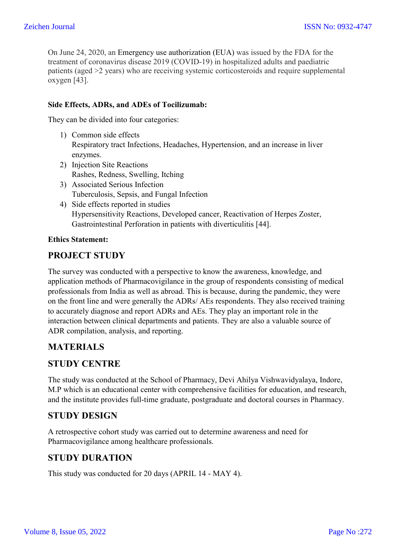On June 24, 2020, an Emergency use authorization (EUA) was issued by the FDA for the treatment of coronavirus disease 2019 (COVID-19) in hospitalized adults and paediatric patients (aged >2 years) who are receiving systemic corticosteroids and require supplemental oxygen [43].

#### **Side Effects, ADRs, and ADEs of Tocilizumab:**

They can be divided into four categories:

- 1) Common side effects Respiratory tract Infections, Headaches, Hypertension, and an increase in liver enzymes.
- 2) Injection Site Reactions Rashes, Redness, Swelling, Itching
- 3) Associated Serious Infection Tuberculosis, Sepsis, and Fungal Infection
- 4) Side effects reported in studies Hypersensitivity Reactions, Developed cancer, Reactivation of Herpes Zoster, Gastrointestinal Perforation in patients with diverticulitis [44].

#### **Ethics Statement:**

## **PROJECT STUDY**

The survey was conducted with a perspective to know the awareness, knowledge, and application methods of Pharmacovigilance in the group of respondents consisting of medical professionals from India as well as abroad. This is because, during the pandemic, they were on the front line and were generally the ADRs/ AEs respondents. They also received training to accurately diagnose and report ADRs and AEs. They play an important role in the interaction between clinical departments and patients. They are also a valuable source of ADR compilation, analysis, and reporting.

## **MATERIALS**

#### **STUDY CENTRE**

The study was conducted at the School of Pharmacy, Devi Ahilya Vishwavidyalaya, Indore, M.P which is an educational center with comprehensive facilities for education, and research, and the institute provides full-time graduate, postgraduate and doctoral courses in Pharmacy.

## **STUDY DESIGN**

A retrospective cohort study was carried out to determine awareness and need for Pharmacovigilance among healthcare professionals.

## **STUDY DURATION**

This study was conducted for 20 days (APRIL 14 - MAY 4).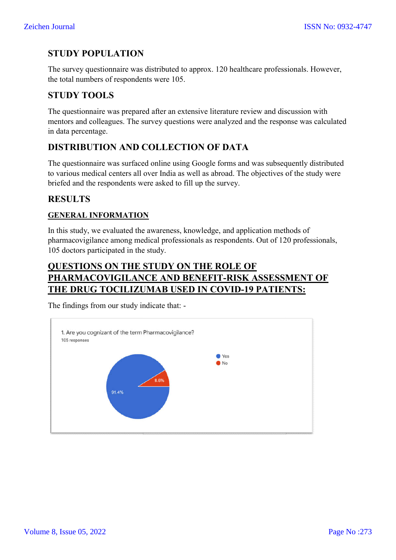# **STUDY POPULATION**

The survey questionnaire was distributed to approx. 120 healthcare professionals. However, the total numbers of respondents were 105.

# **STUDY TOOLS**

The questionnaire was prepared after an extensive literature review and discussion with mentors and colleagues. The survey questions were analyzed and the response was calculated in data percentage.

# **DISTRIBUTION AND COLLECTION OF DATA**

The questionnaire was surfaced online using Google forms and was subsequently distributed to various medical centers all over India as well as abroad. The objectives of the study were briefed and the respondents were asked to fill up the survey.

## **RESULTS**

## **GENERAL INFORMATION**

In this study, we evaluated the awareness, knowledge, and application methods of pharmacovigilance among medical professionals as respondents. Out of 120 professionals, 105 doctors participated in the study.

# **QUESTIONS ON THE STUDY ON THE ROLE OF PHARMACOVIGILANCE AND BENEFIT BENEFIT-RISK ASSESSMENT OF THE DRUG TOCILIZUMAB USED IN COVID COVID-19 PATIENTS: ISSN No: 0932-4747**<br> **RISK 1922-4747**<br> **RIGUARE 1923-4747**<br> **RIGUARE 1924 and the response was calculated<br>
<b>PATA**<br> **RISK**<br> **RISK ASSESSMENT OF<br>
RISK ASSESSMENT OF<br>
VID-19 PATIENTS:**

The findings from our study indicate that: -

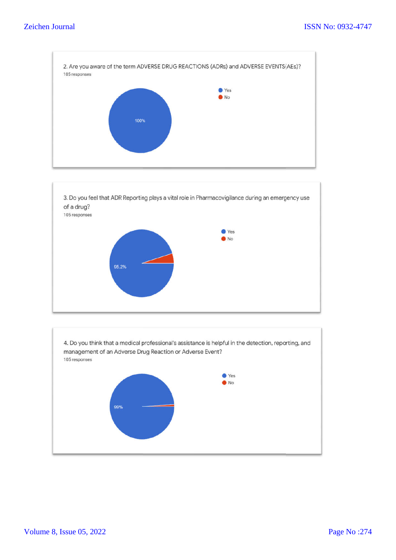



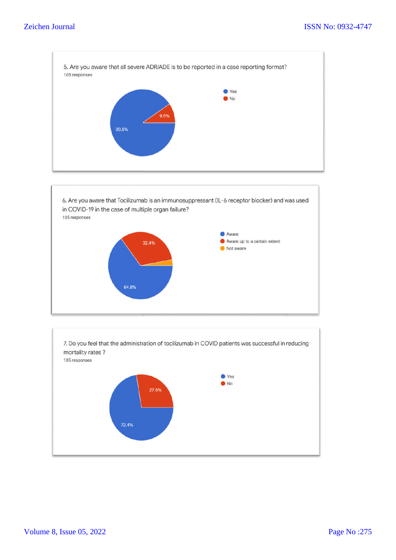

6. Are you aware that Tocilizumab is an immunosuppressant (IL-6 receptor blocker) and was used in COVID-19 in the case of multiple organ failure? 105 responses



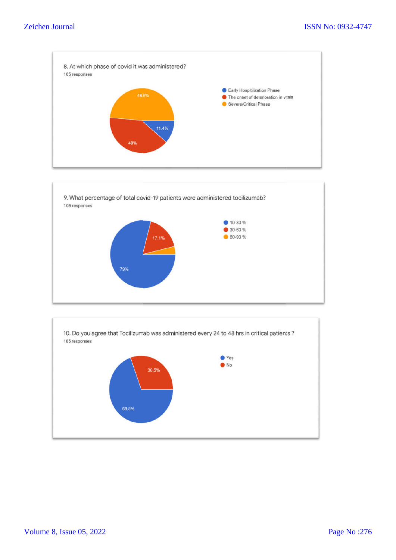#### Zeichen Journal





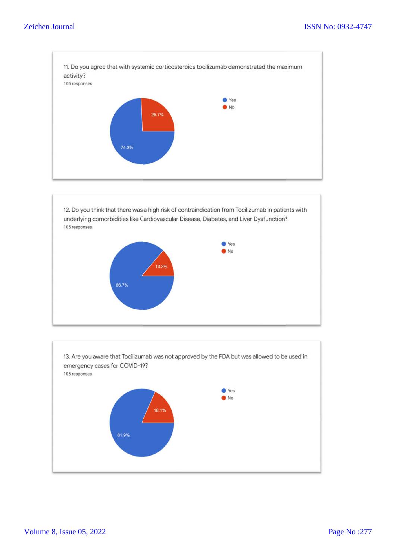

12. Do you think that there was a high risk of contraindication from Tocilizumab in patients with underlying comorbidities like Cardiovascular Disease, Diabetes, and Liver Dysfunction? 105 responses



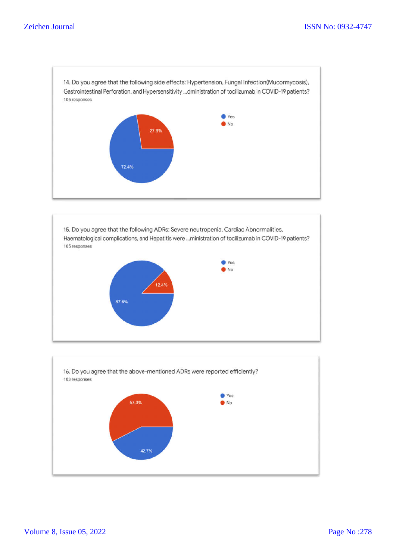14. Do you agree that the following side effects: Hypertension, Fungal Infection(Mucormycosis), Gastrointestinal Perforation, and Hypersensitivity ...dministration of tocilizumab in COVID-19 patients? 105 responses ● Yes  $\bullet$ No 27.6% 72.4%



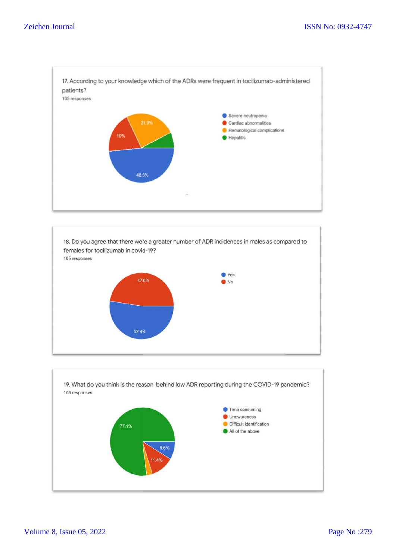



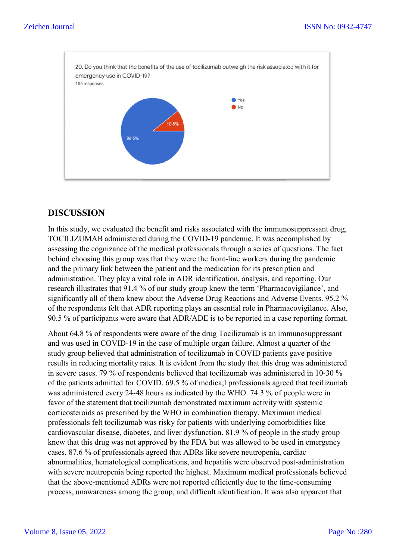

# **DISCUSSION**

In this study, we evaluated the benefit and risks associated with the immunosuppressant drug, TOCILIZUMAB administered during the COVID-19 pandemic. It was accomplished by In this study, we evaluated the benefit and risks associated with the immunosuppressant drug, TOCILIZUMAB administered during the COVID-19 pandemic. It was accomplished by assessing the cognizance of the medical profession behind choosing this group was that they were the front-line workers during the pandemic and the primary link between the patient and the medication for its prescription and and the primary link between the patient and the medication for its prescription and<br>administration. They play a vital role in ADR identification, analysis, and reporting. Our research illustrates that 91.4 % of our study group knew the term 'Pharmacovigilance', and research illustrates that 91.4 % of our study group knew the term 'Pharmacovigilance', and<br>significantly all of them knew about the Adverse Drug Reactions and Adverse Events. 95.2 % of the respondents felt that ADR reporting plays an essential role in Pharmacovigilance. Also, of the respondents felt that ADR reporting plays an essential role in Pharmacovigilance. Also, 90.5 % of participants were aware that ADR/ADE is to be reported in a case reporting format.

About 64.8 % of respondents were aware of the drug Tocilizumab is an immunosuppressant and was used in COVID-19 in the case of multiple organ failure. Almost a quarter of the study group believed that administration of tocilizumab in COVID patients gave positive results in reducing mortality rates. It is evident from the study that this drug was administered results in reducing mortality rates. It is evident from the study that this drug was administered<br>in severe cases. 79 % of respondents believed that tocilizumab was administered in 10-30 % of the patients admitted for COVID. 69.5 % of medica; professionals agreed that tocilizumab was administered every 24-48 hours as indicated by the WHO. 74.3 % of people were in favor of the statement that tocilizumab demon was administered every 24-48 hours as indicated by the WHO. 74.3 % of people were in was administered every 24-48 hours as indicated by the WHO. 74.3 % of people were favor of the statement that tocilizumab demonstrated maximum activity with systemic corticosteroids as prescribed by the WHO in combination therapy. Maximum medical professionals felt tocilizumab was risky for patients with underlying comorbidities like professionals felt tocilizumab was risky for patients with underlying comorbidities like<br>cardiovascular disease, diabetes, and liver dysfunction. 81.9 % of people in the study group knew that this drug was not approved by the FDA but was allowed to be used in emergency cases. 87.6 % of professionals agreed that ADRs like severe neutropenia, cardiac cases. 87.6 % of professionals agreed that ADRs like severe neutropenia, cardiac<br>abnormalities, hematological complications, and hepatitis were observed post-administration with severe neutropenia being reported the highest. Maximum medical professionals believed that the above-mentioned ADRs were not reported efficiently due to the time-consuming that the above-mentioned ADRs were not reported efficiently due to the time process, unawareness among the group, and difficult identification. It was also apparent that 19 in the case of multiple organ failure. Almost a quarter of t<br>administration of tocilizumab in COVID patients gave posit<br>lity rates. It is evident from the study that this drug was admin<br>respondents believed that tociliz ISSN No: 0932-4747<br>
of tocilizumab outweigh the risk associated with it for<br>  $\bullet$  vs<br>  $\bullet$  vs<br>  $\bullet$  vs<br>  $\bullet$  vs<br>  $\bullet$  vs<br>  $\bullet$  vs<br>  $\bullet$  vs<br>  $\bullet$  vs<br>  $\bullet$  vs<br>  $\bullet$  vs<br>  $\bullet$  vs<br>  $\bullet$  vs<br>  $\bullet$  vs<br>  $\bullet$  vs<br>  $\bullet$  vs<br>  $\bullet$  vs<br>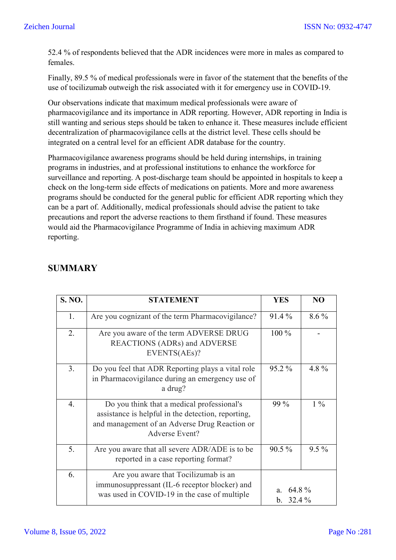52.4 % of respondents believed that the ADR incidences were more in males as compared to females.

Finally, 89.5 % of medical professionals were in favor of the statement that the benefits of the use of tocilizumab outweigh the risk associated with it for emergency use in COVID-19.

Our observations indicate that maximum medical professionals were aware of pharmacovigilance and its importance in ADR reporting. However, ADR reporting in India is still wanting and serious steps should be taken to enhance it. These measures include efficient decentralization of pharmacovigilance cells at the district level. These cells should be integrated on a central level for an efficient ADR database for the country.

Pharmacovigilance awareness programs should be held during internships, in training programs in industries, and at professional institutions to enhance the workforce for surveillance and reporting. A post-discharge team should be appointed in hospitals to keep a check on the long-term side effects of medications on patients. More and more awareness programs should be conducted for the general public for efficient ADR reporting which they can be a part of. Additionally, medical professionals should advise the patient to take precautions and report the adverse reactions to them firsthand if found. These measures would aid the Pharmacovigilance Programme of India in achieving maximum ADR reporting.

| <b>S. NO.</b> | <b>STATEMENT</b>                                                                                                                                                    | <b>YES</b>                  | N <sub>O</sub> |
|---------------|---------------------------------------------------------------------------------------------------------------------------------------------------------------------|-----------------------------|----------------|
| 1.            | Are you cognizant of the term Pharmacovigilance?                                                                                                                    | 91.4 %                      | $8.6\%$        |
| 2.            | Are you aware of the term ADVERSE DRUG<br><b>REACTIONS (ADRs) and ADVERSE</b><br>EVENTS(AEs)?                                                                       | $100\%$                     |                |
| 3.            | Do you feel that ADR Reporting plays a vital role<br>in Pharmacovigilance during an emergency use of<br>a drug?                                                     | 95.2 %                      | 4.8%           |
| 4.            | Do you think that a medical professional's<br>assistance is helpful in the detection, reporting,<br>and management of an Adverse Drug Reaction or<br>Adverse Event? | 99 %                        | $1\%$          |
| 5.            | Are you aware that all severe ADR/ADE is to be<br>reported in a case reporting format?                                                                              | $90.5\%$                    | $9.5\%$        |
| 6.            | Are you aware that Tocilizumab is an<br>immunosuppressant (IL-6 receptor blocker) and<br>was used in COVID-19 in the case of multiple                               | 64.8%<br>a.<br>32.4 %<br>b. |                |

# **SUMMARY**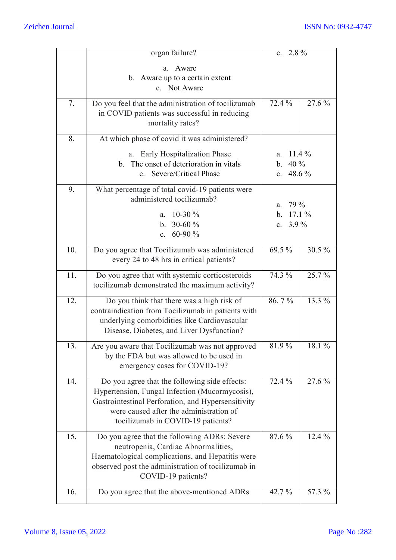|     | organ failure?                                                                                                                                                                                                                        | c. $2.8\%$                                                      |        |
|-----|---------------------------------------------------------------------------------------------------------------------------------------------------------------------------------------------------------------------------------------|-----------------------------------------------------------------|--------|
|     | Aware<br>a.<br>b. Aware up to a certain extent<br>c. Not Aware                                                                                                                                                                        |                                                                 |        |
| 7.  | Do you feel that the administration of tocilizumab<br>in COVID patients was successful in reducing<br>mortality rates?                                                                                                                | 72.4 %                                                          | 27.6 % |
| 8.  | At which phase of covid it was administered?                                                                                                                                                                                          |                                                                 |        |
|     | <b>Early Hospitalization Phase</b><br>a.<br>b. The onset of deterioration in vitals<br>Severe/Critical Phase<br>$c_{\cdot}$                                                                                                           | a. 11.4 %<br>40 %<br>$\mathbf{b}$ .<br>48.6 %<br>$c_{\cdot}$    |        |
| 9.  | What percentage of total covid-19 patients were<br>administered tocilizumab?<br>$10-30%$<br>a.<br>30-60 $%$<br>b.<br>60-90 %<br>$\mathbf{c}$ .                                                                                        | 79 %<br>a.<br>17.1%<br>$\mathbf{b}$ .<br>$3.9\%$<br>$c_{\cdot}$ |        |
| 10. | Do you agree that Tocilizumab was administered<br>every 24 to 48 hrs in critical patients?                                                                                                                                            | 69.5 %                                                          | 30.5 % |
| 11. | Do you agree that with systemic corticosteroids<br>tocilizumab demonstrated the maximum activity?                                                                                                                                     | 74.3 %                                                          | 25.7%  |
| 12. | Do you think that there was a high risk of<br>contraindication from Tocilizumab in patients with<br>underlying comorbidities like Cardiovascular<br>Disease, Diabetes, and Liver Dysfunction?                                         | 86.7%                                                           | 13.3 % |
| 13. | Are you aware that Tocilizumab was not approved<br>by the FDA but was allowed to be used in<br>emergency cases for COVID-19?                                                                                                          | $81.9\,\sqrt{6}$                                                | 18.1 % |
| 14. | Do you agree that the following side effects:<br>Hypertension, Fungal Infection (Mucormycosis),<br>Gastrointestinal Perforation, and Hypersensitivity<br>were caused after the administration of<br>tocilizumab in COVID-19 patients? | 72.4 %                                                          | 27.6 % |
| 15. | Do you agree that the following ADRs: Severe<br>neutropenia, Cardiac Abnormalities,<br>Haematological complications, and Hepatitis were<br>observed post the administration of tocilizumab in<br>COVID-19 patients?                   | 87.6 %                                                          | 12.4 % |
| 16. | Do you agree that the above-mentioned ADRs                                                                                                                                                                                            | 42.7 %                                                          | 57.3 % |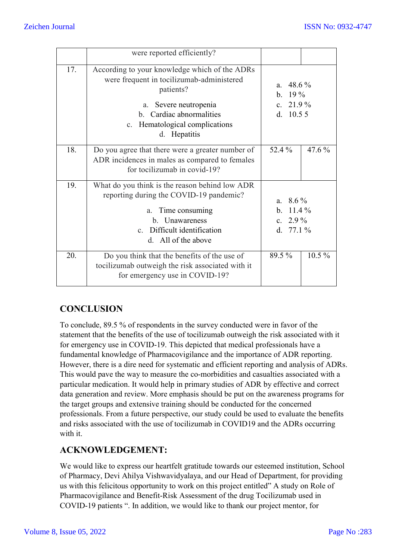|     | were reported efficiently?                                                                                                                                                                                        |                                                          |          |
|-----|-------------------------------------------------------------------------------------------------------------------------------------------------------------------------------------------------------------------|----------------------------------------------------------|----------|
| 17. | According to your knowledge which of the ADRs<br>were frequent in tocilizumab-administered<br>patients?<br>Severe neutropenia<br>a.<br>b. Cardiac abnormalities<br>c. Hematological complications<br>d. Hepatitis | a. $48.6\%$<br>$19\%$<br>b.<br>c. $21.9\%$<br>d. $10.55$ |          |
| 18. | Do you agree that there were a greater number of<br>ADR incidences in males as compared to females<br>for tocilizumab in covid-19?                                                                                | 52.4 %                                                   | 47.6 %   |
| 19. | What do you think is the reason behind low ADR<br>reporting during the COVID-19 pandemic?<br>a. Time consuming<br>b. Unawareness<br>c. Difficult identification<br>d. All of the above                            | a. $8.6\%$<br>b. $11.4\%$<br>c. $2.9\%$<br>d. $77.1\%$   |          |
| 20. | Do you think that the benefits of the use of<br>tocilizumab outweigh the risk associated with it<br>for emergency use in COVID-19?                                                                                | 89.5 %                                                   | $10.5\%$ |

# **CONCLUSION**

To conclude, 89.5 % of respondents in the survey conducted were in favor of the statement that the benefits of the use of tocilizumab outweigh the risk associated with it for emergency use in COVID-19. This depicted that medical professionals have a fundamental knowledge of Pharmacovigilance and the importance of ADR reporting. However, there is a dire need for systematic and efficient reporting and analysis of ADRs. This would pave the way to measure the co-morbidities and casualties associated with a particular medication. It would help in primary studies of ADR by effective and correct data generation and review. More emphasis should be put on the awareness programs for the target groups and extensive training should be conducted for the concerned professionals. From a future perspective, our study could be used to evaluate the benefits and risks associated with the use of tocilizumab in COVID19 and the ADRs occurring with it.

# **ACKNOWLEDGEMENT:**

We would like to express our heartfelt gratitude towards our esteemed institution, School of Pharmacy, Devi Ahilya Vishwavidyalaya, and our Head of Department, for providing us with this felicitous opportunity to work on this project entitled" A study on Role of Pharmacovigilance and Benefit-Risk Assessment of the drug Tocilizumab used in COVID-19 patients ". In addition, we would like to thank our project mentor, for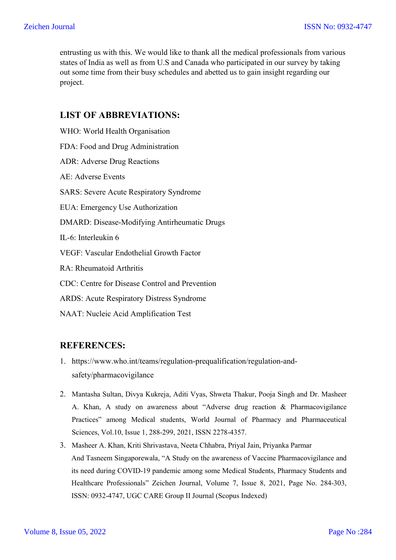entrusting us with this. We would like to thank all the medical professionals from various states of India as well as from U.S and Canada who participated in our survey by taking out some time from their busy schedules and abetted us to gain insight regarding our project.

## **LIST OF ABBREVIATIONS:**

WHO: World Health Organisation FDA: Food and Drug Administration ADR: Adverse Drug Reactions AE: Adverse Events SARS: Severe Acute Respiratory Syndrome EUA: Emergency Use Authorization DMARD: Disease-Modifying Antirheumatic Drugs IL-6: Interleukin 6 VEGF: Vascular Endothelial Growth Factor RA: Rheumatoid Arthritis CDC: Centre for Disease Control and Prevention ARDS: Acute Respiratory Distress Syndrome NAAT: Nucleic Acid Amplification Test

## **REFERENCES:**

- 1. https://www.who.int/teams/regulation-prequalification/regulation-andsafety/pharmacovigilance
- 2. Mantasha Sultan, Divya Kukreja, Aditi Vyas, Shweta Thakur, Pooja Singh and Dr. Masheer A. Khan, A study on awareness about "Adverse drug reaction & Pharmacovigilance Practices" among Medical students, World Journal of Pharmacy and Pharmaceutical Sciences, Vol.10, Issue 1, 288-299, 2021, ISSN 2278-4357.
- 3. Masheer A. Khan, Kriti Shrivastava, Neeta Chhabra, Priyal Jain, Priyanka Parmar And Tasneem Singaporewala, "A Study on the awareness of Vaccine Pharmacovigilance and its need during COVID-19 pandemic among some Medical Students, Pharmacy Students and Healthcare Professionals" Zeichen Journal, Volume 7, Issue 8, 2021, Page No. 284-303, ISSN: 0932-4747, UGC CARE Group II Journal (Scopus Indexed)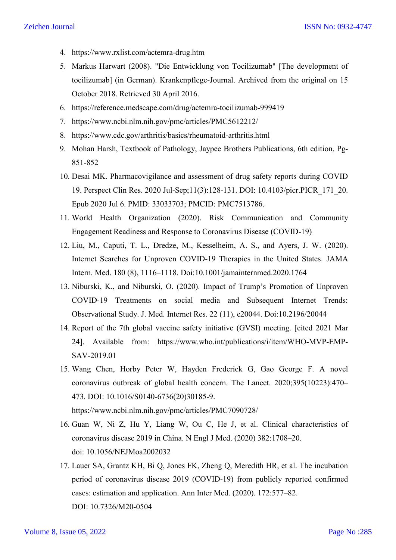- 4. https://www.rxlist.com/actemra-drug.htm
- 5. Markus Harwart (2008). "Die Entwicklung von Tocilizumab" [The development of tocilizumab] (in German). Krankenpflege-Journal. Archived from the original on 15 October 2018. Retrieved 30 April 2016.
- 6. https://reference.medscape.com/drug/actemra-tocilizumab-999419
- 7. https://www.ncbi.nlm.nih.gov/pmc/articles/PMC5612212/
- 8. https://www.cdc.gov/arthritis/basics/rheumatoid-arthritis.html
- 9. Mohan Harsh, Textbook of Pathology, Jaypee Brothers Publications, 6th edition, Pg-851-852
- 10. Desai MK. Pharmacovigilance and assessment of drug safety reports during COVID 19. Perspect Clin Res. 2020 Jul-Sep;11(3):128-131. DOI: 10.4103/picr.PICR\_171\_20. Epub 2020 Jul 6. PMID: 33033703; PMCID: PMC7513786.
- 11. World Health Organization (2020). Risk Communication and Community Engagement Readiness and Response to Coronavirus Disease (COVID-19)
- 12. Liu, M., Caputi, T. L., Dredze, M., Kesselheim, A. S., and Ayers, J. W. (2020). Internet Searches for Unproven COVID-19 Therapies in the United States. JAMA Intern. Med. 180 (8), 1116–1118. Doi:10.1001/jamainternmed.2020.1764
- 13. Niburski, K., and Niburski, O. (2020). Impact of Trump's Promotion of Unproven COVID-19 Treatments on social media and Subsequent Internet Trends: Observational Study. J. Med. Internet Res. 22 (11), e20044. Doi:10.2196/20044
- 14. Report of the 7th global vaccine safety initiative (GVSI) meeting. [cited 2021 Mar 24]. Available from: https://www.who.int/publications/i/item/WHO-MVP-EMP-SAV-2019.01
- 15. Wang Chen, Horby Peter W, Hayden Frederick G, Gao George F. A novel coronavirus outbreak of global health concern. The Lancet. 2020;395(10223):470– 473. DOI: 10.1016/S0140-6736(20)30185-9.

https://www.ncbi.nlm.nih.gov/pmc/articles/PMC7090728/

- 16. Guan W, Ni Z, Hu Y, Liang W, Ou C, He J, et al. Clinical characteristics of coronavirus disease 2019 in China. N Engl J Med. (2020) 382:1708–20. doi: 10.1056/NEJMoa2002032
- 17. Lauer SA, Grantz KH, Bi Q, Jones FK, Zheng Q, Meredith HR, et al. The incubation period of coronavirus disease 2019 (COVID-19) from publicly reported confirmed cases: estimation and application. Ann Inter Med. (2020). 172:577–82. DOI: 10.7326/M20-0504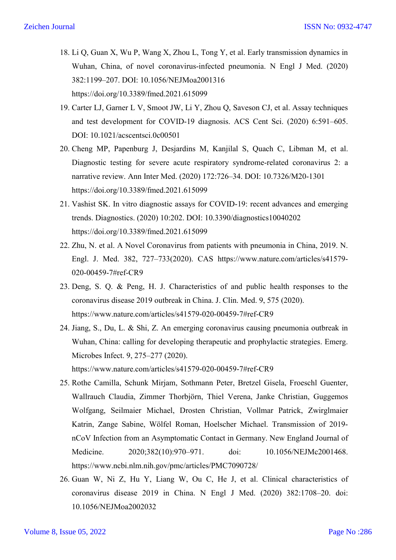- 18. Li Q, Guan X, Wu P, Wang X, Zhou L, Tong Y, et al. Early transmission dynamics in Wuhan, China, of novel coronavirus-infected pneumonia. N Engl J Med. (2020) 382:1199–207. DOI: 10.1056/NEJMoa2001316 https://doi.org/10.3389/fmed.2021.615099
- 19. Carter LJ, Garner L V, Smoot JW, Li Y, Zhou Q, Saveson CJ, et al. Assay techniques and test development for COVID-19 diagnosis. ACS Cent Sci. (2020) 6:591–605. DOI: 10.1021/acscentsci.0c00501
- 20. Cheng MP, Papenburg J, Desjardins M, Kanjilal S, Quach C, Libman M, et al. Diagnostic testing for severe acute respiratory syndrome-related coronavirus 2: a narrative review. Ann Inter Med. (2020) 172:726–34. DOI: 10.7326/M20-1301 https://doi.org/10.3389/fmed.2021.615099
- 21. Vashist SK. In vitro diagnostic assays for COVID-19: recent advances and emerging trends. Diagnostics. (2020) 10:202. DOI: 10.3390/diagnostics10040202 https://doi.org/10.3389/fmed.2021.615099
- 22. Zhu, N. et al. A Novel Coronavirus from patients with pneumonia in China, 2019. N. Engl. J. Med. 382, 727–733(2020). CAS https://www.nature.com/articles/s41579- 020-00459-7#ref-CR9
- 23. Deng, S. Q. & Peng, H. J. Characteristics of and public health responses to the coronavirus disease 2019 outbreak in China. J. Clin. Med. 9, 575 (2020). https://www.nature.com/articles/s41579-020-00459-7#ref-CR9
- 24. Jiang, S., Du, L. & Shi, Z. An emerging coronavirus causing pneumonia outbreak in Wuhan, China: calling for developing therapeutic and prophylactic strategies. Emerg. Microbes Infect. 9, 275–277 (2020).

https://www.nature.com/articles/s41579-020-00459-7#ref-CR9

- 25. Rothe Camilla, Schunk Mirjam, Sothmann Peter, Bretzel Gisela, Froeschl Guenter, Wallrauch Claudia, Zimmer Thorbjörn, Thiel Verena, Janke Christian, Guggemos Wolfgang, Seilmaier Michael, Drosten Christian, Vollmar Patrick, Zwirglmaier Katrin, Zange Sabine, Wölfel Roman, Hoelscher Michael. Transmission of 2019 nCoV Infection from an Asymptomatic Contact in Germany. New England Journal of Medicine. 2020;382(10):970–971. doi: 10.1056/NEJMc2001468. https://www.ncbi.nlm.nih.gov/pmc/articles/PMC7090728/
- 26. Guan W, Ni Z, Hu Y, Liang W, Ou C, He J, et al. Clinical characteristics of coronavirus disease 2019 in China. N Engl J Med. (2020) 382:1708–20. doi: 10.1056/NEJMoa2002032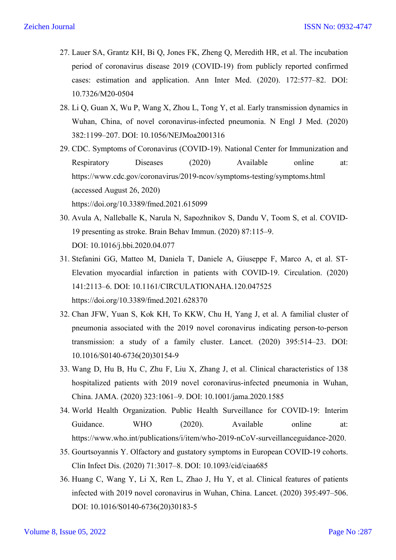- 27. Lauer SA, Grantz KH, Bi Q, Jones FK, Zheng Q, Meredith HR, et al. The incubation period of coronavirus disease 2019 (COVID-19) from publicly reported confirmed cases: estimation and application. Ann Inter Med. (2020). 172:577–82. DOI: 10.7326/M20-0504
- 28. Li Q, Guan X, Wu P, Wang X, Zhou L, Tong Y, et al. Early transmission dynamics in Wuhan, China, of novel coronavirus-infected pneumonia. N Engl J Med. (2020) 382:1199–207. DOI: 10.1056/NEJMoa2001316
- 29. CDC. Symptoms of Coronavirus (COVID-19). National Center for Immunization and Respiratory Diseases (2020) Available online at: https://www.cdc.gov/coronavirus/2019-ncov/symptoms-testing/symptoms.html (accessed August 26, 2020) https://doi.org/10.3389/fmed.2021.615099
- 30. Avula A, Nalleballe K, Narula N, Sapozhnikov S, Dandu V, Toom S, et al. COVID-19 presenting as stroke. Brain Behav Immun. (2020) 87:115–9. DOI: 10.1016/j.bbi.2020.04.077
- 31. Stefanini GG, Matteo M, Daniela T, Daniele A, Giuseppe F, Marco A, et al. ST-Elevation myocardial infarction in patients with COVID-19. Circulation. (2020) 141:2113–6. DOI: 10.1161/CIRCULATIONAHA.120.047525 https://doi.org/10.3389/fmed.2021.628370
- 32. Chan JFW, Yuan S, Kok KH, To KKW, Chu H, Yang J, et al. A familial cluster of pneumonia associated with the 2019 novel coronavirus indicating person-to-person transmission: a study of a family cluster. Lancet. (2020) 395:514–23. DOI: 10.1016/S0140-6736(20)30154-9
- 33. Wang D, Hu B, Hu C, Zhu F, Liu X, Zhang J, et al. Clinical characteristics of 138 hospitalized patients with 2019 novel coronavirus-infected pneumonia in Wuhan, China. JAMA. (2020) 323:1061–9. DOI: 10.1001/jama.2020.1585
- 34. World Health Organization. Public Health Surveillance for COVID-19: Interim Guidance. WHO (2020). Available online at: https://www.who.int/publications/i/item/who-2019-nCoV-surveillanceguidance-2020.
- 35. Gourtsoyannis Y. Olfactory and gustatory symptoms in European COVID-19 cohorts. Clin Infect Dis. (2020) 71:3017–8. DOI: 10.1093/cid/ciaa685
- 36. Huang C, Wang Y, Li X, Ren L, Zhao J, Hu Y, et al. Clinical features of patients infected with 2019 novel coronavirus in Wuhan, China. Lancet. (2020) 395:497–506. DOI: 10.1016/S0140-6736(20)30183-5